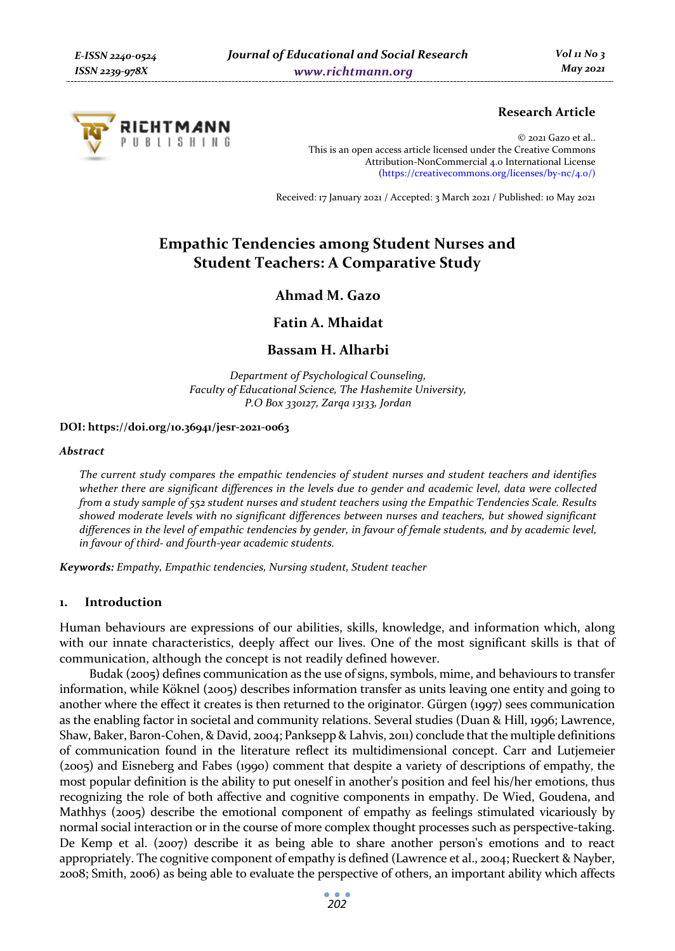

# **Research Article**

© 2021 Gazo et al.. This is an open access article licensed under the Creative Commons Attribution-NonCommercial 4.0 International License (https://creativecommons.org/licenses/by-nc/4.0/)

Received: 17 January 2021 / Accepted: 3 March 2021 / Published: 10 May 2021

# **Empathic Tendencies among Student Nurses and Student Teachers: A Comparative Study**

**Ahmad M. Gazo** 

**Fatin A. Mhaidat** 

#### **Bassam H. Alharbi**

*Department of Psychological Counseling, Faculty of Educational Science, The Hashemite University, P.O Box 330127, Zarqa 13133, Jordan* 

#### **DOI: https://doi.org/10.36941/jesr-2021-0063**

#### *Abstract*

*The current study compares the empathic tendencies of student nurses and student teachers and identifies whether there are significant differences in the levels due to gender and academic level, data were collected from a study sample of 552 student nurses and student teachers using the Empathic Tendencies Scale. Results showed moderate levels with no significant differences between nurses and teachers, but showed significant differences in the level of empathic tendencies by gender, in favour of female students, and by academic level, in favour of third- and fourth-year academic students.* 

*Keywords: Empathy, Empathic tendencies, Nursing student, Student teacher* 

#### **1. Introduction**

Human behaviours are expressions of our abilities, skills, knowledge, and information which, along with our innate characteristics, deeply affect our lives. One of the most significant skills is that of communication, although the concept is not readily defined however.

Budak (2005) defines communication as the use of signs, symbols, mime, and behaviours to transfer information, while Köknel (2005) describes information transfer as units leaving one entity and going to another where the effect it creates is then returned to the originator. Gürgen (1997) sees communication as the enabling factor in societal and community relations. Several studies (Duan & Hill, 1996; Lawrence, Shaw, Baker, Baron-Cohen, & David, 2004; Panksepp & Lahvis, 2011) conclude that the multiple definitions of communication found in the literature reflect its multidimensional concept. Carr and Lutjemeier (2005) and Eisneberg and Fabes (1990) comment that despite a variety of descriptions of empathy, the most popular definition is the ability to put oneself in another's position and feel his/her emotions, thus recognizing the role of both affective and cognitive components in empathy. De Wied, Goudena, and Mathhys (2005) describe the emotional component of empathy as feelings stimulated vicariously by normal social interaction or in the course of more complex thought processes such as perspective-taking. De Kemp et al. (2007) describe it as being able to share another person's emotions and to react appropriately. The cognitive component of empathy is defined (Lawrence et al., 2004; Rueckert & Nayber, 2008; Smith, 2006) as being able to evaluate the perspective of others, an important ability which affects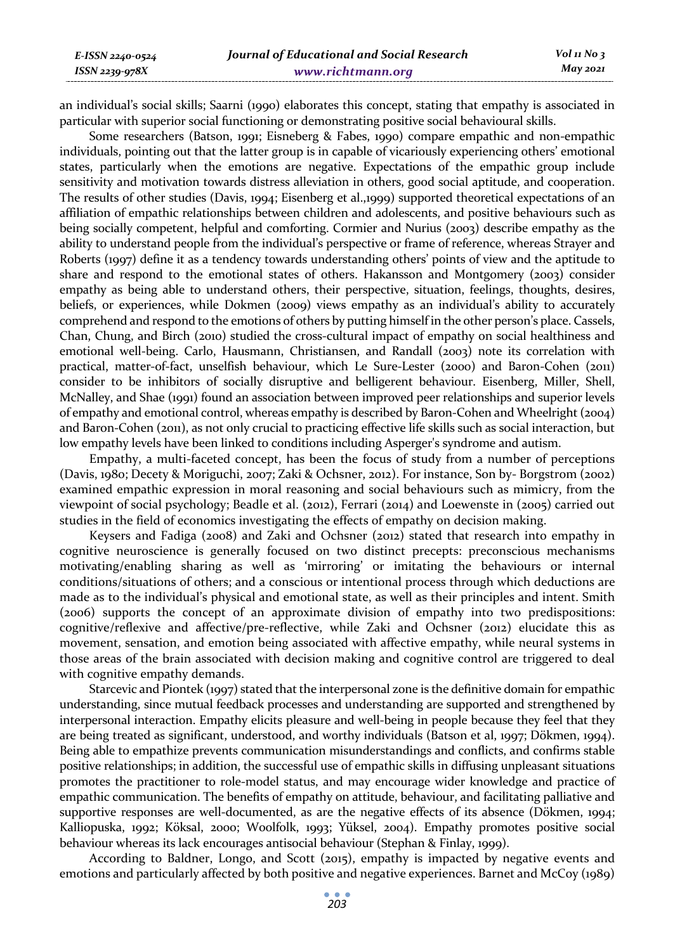an individual's social skills; Saarni (1990) elaborates this concept, stating that empathy is associated in particular with superior social functioning or demonstrating positive social behavioural skills.

Some researchers (Batson, 1991; Eisneberg & Fabes, 1990) compare empathic and non-empathic individuals, pointing out that the latter group is in capable of vicariously experiencing others' emotional states, particularly when the emotions are negative. Expectations of the empathic group include sensitivity and motivation towards distress alleviation in others, good social aptitude, and cooperation. The results of other studies (Davis, 1994; Eisenberg et al.,1999) supported theoretical expectations of an affiliation of empathic relationships between children and adolescents, and positive behaviours such as being socially competent, helpful and comforting. Cormier and Nurius (2003) describe empathy as the ability to understand people from the individual's perspective or frame of reference, whereas Strayer and Roberts (1997) define it as a tendency towards understanding others' points of view and the aptitude to share and respond to the emotional states of others. Hakansson and Montgomery (2003) consider empathy as being able to understand others, their perspective, situation, feelings, thoughts, desires, beliefs, or experiences, while Dokmen (2009) views empathy as an individual's ability to accurately comprehend and respond to the emotions of others by putting himself in the other person's place. Cassels, Chan, Chung, and Birch (2010) studied the cross-cultural impact of empathy on social healthiness and emotional well-being. Carlo, Hausmann, Christiansen, and Randall (2003) note its correlation with practical, matter-of-fact, unselfish behaviour, which Le Sure-Lester (2000) and Baron-Cohen (2011) consider to be inhibitors of socially disruptive and belligerent behaviour. Eisenberg, Miller, Shell, McNalley, and Shae (1991) found an association between improved peer relationships and superior levels of empathy and emotional control, whereas empathy is described by Baron-Cohen and Wheelright (2004) and Baron-Cohen (2011), as not only crucial to practicing effective life skills such as social interaction, but low empathy levels have been linked to conditions including Asperger's syndrome and autism.

Empathy, a multi-faceted concept, has been the focus of study from a number of perceptions (Davis, 1980; Decety & Moriguchi, 2007; Zaki & Ochsner, 2012). For instance, Son by- Borgstrom (2002) examined empathic expression in moral reasoning and social behaviours such as mimicry, from the viewpoint of social psychology; Beadle et al. (2012), Ferrari (2014) and Loewenste in (2005) carried out studies in the field of economics investigating the effects of empathy on decision making.

Keysers and Fadiga (2008) and Zaki and Ochsner (2012) stated that research into empathy in cognitive neuroscience is generally focused on two distinct precepts: preconscious mechanisms motivating/enabling sharing as well as 'mirroring' or imitating the behaviours or internal conditions/situations of others; and a conscious or intentional process through which deductions are made as to the individual's physical and emotional state, as well as their principles and intent. Smith (2006) supports the concept of an approximate division of empathy into two predispositions: cognitive/reflexive and affective/pre-reflective, while Zaki and Ochsner (2012) elucidate this as movement, sensation, and emotion being associated with affective empathy, while neural systems in those areas of the brain associated with decision making and cognitive control are triggered to deal with cognitive empathy demands.

Starcevic and Piontek (1997) stated that the interpersonal zone is the definitive domain for empathic understanding, since mutual feedback processes and understanding are supported and strengthened by interpersonal interaction. Empathy elicits pleasure and well-being in people because they feel that they are being treated as significant, understood, and worthy individuals (Batson et al, 1997; Dökmen, 1994). Being able to empathize prevents communication misunderstandings and conflicts, and confirms stable positive relationships; in addition, the successful use of empathic skills in diffusing unpleasant situations promotes the practitioner to role-model status, and may encourage wider knowledge and practice of empathic communication. The benefits of empathy on attitude, behaviour, and facilitating palliative and supportive responses are well-documented, as are the negative effects of its absence (Dökmen, 1994; Kalliopuska, 1992; Köksal, 2000; Woolfolk, 1993; Yüksel, 2004). Empathy promotes positive social behaviour whereas its lack encourages antisocial behaviour (Stephan & Finlay, 1999).

According to Baldner, Longo, and Scott (2015), empathy is impacted by negative events and emotions and particularly affected by both positive and negative experiences. Barnet and McCoy (1989)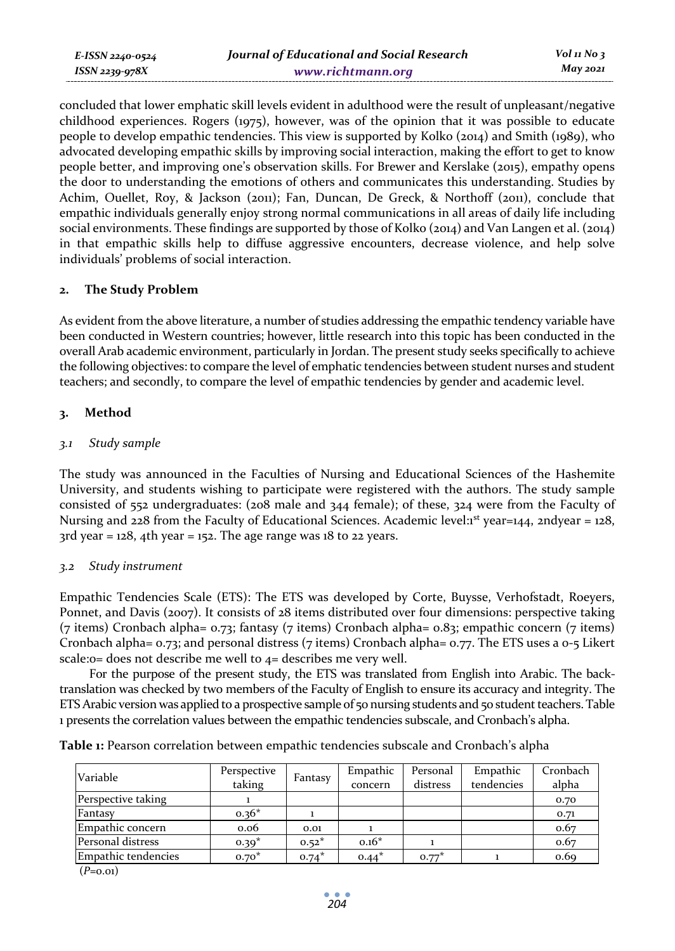concluded that lower emphatic skill levels evident in adulthood were the result of unpleasant/negative childhood experiences. Rogers (1975), however, was of the opinion that it was possible to educate people to develop empathic tendencies. This view is supported by Kolko (2014) and Smith (1989), who advocated developing empathic skills by improving social interaction, making the effort to get to know people better, and improving one's observation skills. For Brewer and Kerslake (2015), empathy opens the door to understanding the emotions of others and communicates this understanding. Studies by Achim, Ouellet, Roy, & Jackson (2011); Fan, Duncan, De Greck, & Northoff (2011), conclude that empathic individuals generally enjoy strong normal communications in all areas of daily life including social environments. These findings are supported by those of Kolko (2014) and Van Langen et al. (2014) in that empathic skills help to diffuse aggressive encounters, decrease violence, and help solve individuals' problems of social interaction.

## **2. The Study Problem**

As evident from the above literature, a number of studies addressing the empathic tendency variable have been conducted in Western countries; however, little research into this topic has been conducted in the overall Arab academic environment, particularly in Jordan. The present study seeks specifically to achieve the following objectives: to compare the level of emphatic tendencies between student nurses and student teachers; and secondly, to compare the level of empathic tendencies by gender and academic level.

# **3. Method**

# *3.1 Study sample*

The study was announced in the Faculties of Nursing and Educational Sciences of the Hashemite University, and students wishing to participate were registered with the authors. The study sample consisted of 552 undergraduates: (208 male and 344 female); of these, 324 were from the Faculty of Nursing and 228 from the Faculty of Educational Sciences. Academic level: $1^{st}$  year=144, 2ndyear = 128,  $3$ rd year = 128, 4th year = 152. The age range was 18 to 22 years.

## *3.2 Study instrument*

Empathic Tendencies Scale (ETS): The ETS was developed by Corte, Buysse, Verhofstadt, Roeyers, Ponnet, and Davis (2007). It consists of 28 items distributed over four dimensions: perspective taking (7 items) Cronbach alpha= 0.73; fantasy (7 items) Cronbach alpha= 0.83; empathic concern (7 items) Cronbach alpha= 0.73; and personal distress (7 items) Cronbach alpha= 0.77. The ETS uses a 0-5 Likert scale:0= does not describe me well to 4= describes me very well.

For the purpose of the present study, the ETS was translated from English into Arabic. The backtranslation was checked by two members of the Faculty of English to ensure its accuracy and integrity. The ETS Arabic version was applied to a prospective sample of 50 nursing students and 50 student teachers. Table 1 presents the correlation values between the empathic tendencies subscale, and Cronbach's alpha.

|  | Table 1: Pearson correlation between empathic tendencies subscale and Cronbach's alpha |  |
|--|----------------------------------------------------------------------------------------|--|
|  |                                                                                        |  |

| Variable            | Perspective<br>taking | Fantasy | Empathic<br>concern | Personal<br>distress | Empathic<br>tendencies | Cronbach<br>alpha |
|---------------------|-----------------------|---------|---------------------|----------------------|------------------------|-------------------|
| Perspective taking  |                       |         |                     |                      |                        | 0.70              |
| Fantasy             | $0.36*$               |         |                     |                      |                        | 0.71              |
| Empathic concern    | 0.06                  | 0.01    |                     |                      |                        | 0.67              |
| Personal distress   | $0.39*$               | $0.52*$ | $0.16*$             |                      |                        | 0.67              |
| Empathic tendencies | $0.70*$               | $0.74*$ | $0.44*$             | $0.77*$              |                        | 0.69              |

(*P*=0.01)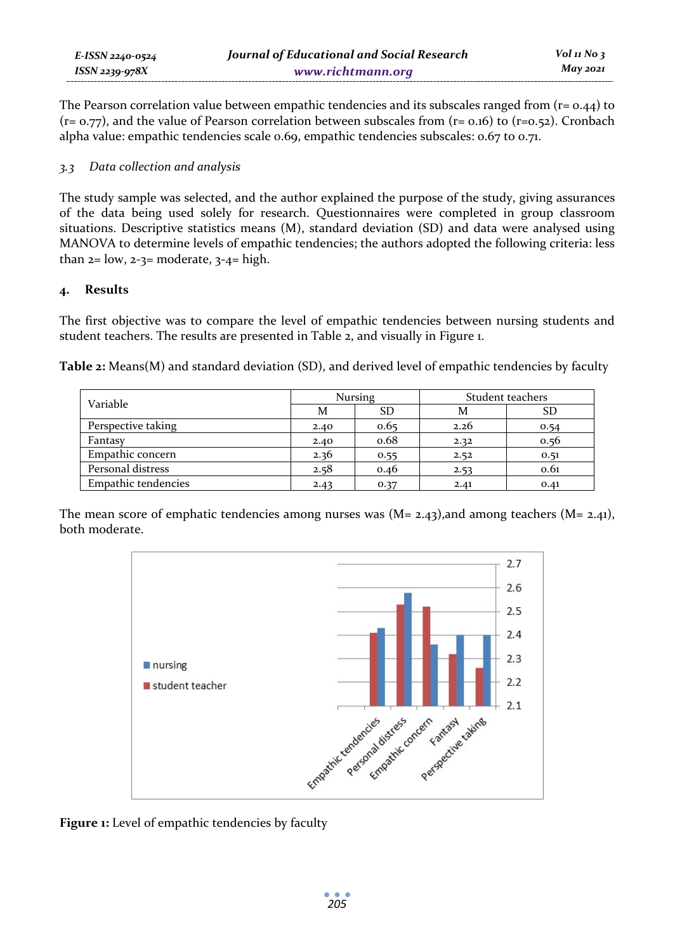| E-ISSN 2240-0524 | Journal of Educational and Social Research | Vol 11 No $\frac{1}{3}$ |
|------------------|--------------------------------------------|-------------------------|
| ISSN 2239-978X   | www.richtmann.org                          | May 2021                |

The Pearson correlation value between empathic tendencies and its subscales ranged from  $(r= 0.44)$  to  $(r= 0.77)$ , and the value of Pearson correlation between subscales from  $(r= 0.16)$  to  $(r=0.52)$ . Cronbach alpha value: empathic tendencies scale 0.69, empathic tendencies subscales: 0.67 to 0.71.

### *3.3 Data collection and analysis*

The study sample was selected, and the author explained the purpose of the study, giving assurances of the data being used solely for research. Questionnaires were completed in group classroom situations. Descriptive statistics means (M), standard deviation (SD) and data were analysed using MANOVA to determine levels of empathic tendencies; the authors adopted the following criteria: less than  $2=$  low,  $2-3=$  moderate,  $3-4=$  high.

## **4. Results**

The first objective was to compare the level of empathic tendencies between nursing students and student teachers. The results are presented in Table 2, and visually in Figure 1.

**Table 2:** Means(M) and standard deviation (SD), and derived level of empathic tendencies by faculty

| Variable            |      | Nursing | Student teachers |      |  |
|---------------------|------|---------|------------------|------|--|
|                     | M    | SD      | M                | SD   |  |
| Perspective taking  | 2.40 | 0.65    | 2.26             | 0.54 |  |
| Fantasy             | 2.40 | 0.68    | 2.32             | 0.56 |  |
| Empathic concern    | 2.36 | 0.55    | 2.52             | 0.51 |  |
| Personal distress   | 2.58 | 0.46    | 2.53             | 0.61 |  |
| Empathic tendencies | 2.43 | 0.37    | 2.41             | 0.41 |  |

The mean score of emphatic tendencies among nurses was  $(M= 2.43)$ , and among teachers  $(M= 2.41)$ , both moderate.



**Figure 1:** Level of empathic tendencies by faculty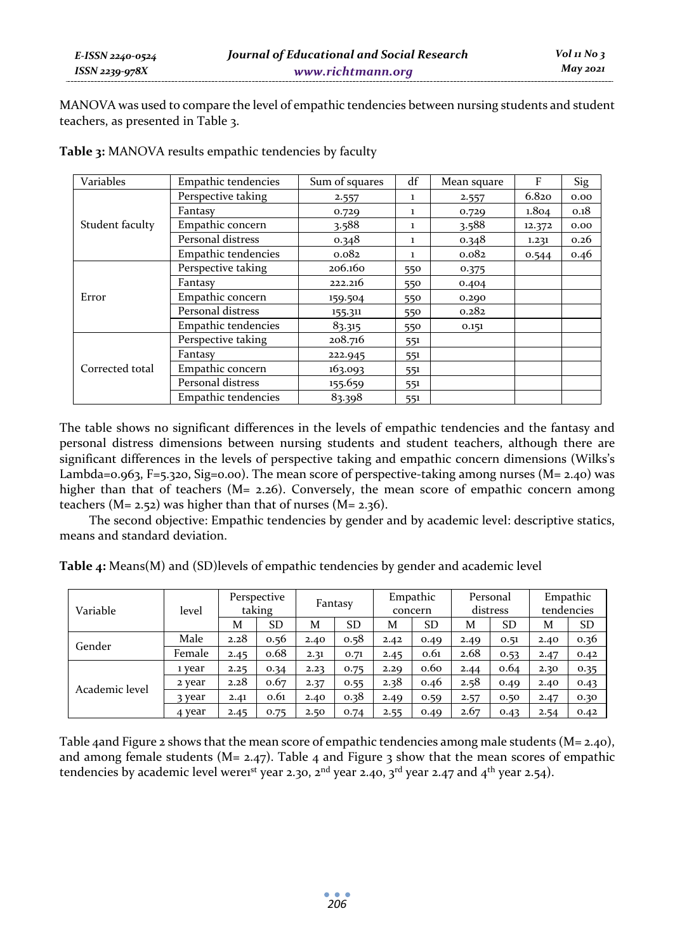MANOVA was used to compare the level of empathic tendencies between nursing students and student teachers, as presented in Table 3.

| Variables                                   | Empathic tendencies | Sum of squares                                                                                                                                                                                                                                                  | df    | Mean square | F      | Sig  |
|---------------------------------------------|---------------------|-----------------------------------------------------------------------------------------------------------------------------------------------------------------------------------------------------------------------------------------------------------------|-------|-------------|--------|------|
|                                             | Perspective taking  | 2.557<br>1<br>0.729<br>1<br>3.588<br>$\mathbf{1}$<br>0.348<br>1<br>0.082<br>1<br>206.160<br>550<br>222.216<br>550<br>159.504<br>550<br>155.311<br>550<br>83.315<br>550<br>208.716<br>551<br>222.945<br>551<br>163.093<br>551<br>155.659<br>551<br>83.398<br>551 | 2.557 | 6.820       | 0.00   |      |
| Student faculty<br>Error<br>Corrected total | Fantasy             |                                                                                                                                                                                                                                                                 |       | 0.729       | 1.804  | 0.18 |
|                                             | Empathic concern    |                                                                                                                                                                                                                                                                 |       | 3.588       | 12.372 | 0.00 |
|                                             | Personal distress   |                                                                                                                                                                                                                                                                 |       | 0.348       | 1.231  | 0.26 |
|                                             | Empathic tendencies |                                                                                                                                                                                                                                                                 |       | 0.082       | 0.544  | 0.46 |
|                                             | Perspective taking  |                                                                                                                                                                                                                                                                 |       | 0.375       |        |      |
|                                             | Fantasy             |                                                                                                                                                                                                                                                                 |       | 0.404       |        |      |
|                                             | Empathic concern    |                                                                                                                                                                                                                                                                 |       | 0.290       |        |      |
|                                             | Personal distress   |                                                                                                                                                                                                                                                                 |       | 0.282       |        |      |
|                                             | Empathic tendencies |                                                                                                                                                                                                                                                                 |       | 0.151       |        |      |
|                                             | Perspective taking  |                                                                                                                                                                                                                                                                 |       |             |        |      |
|                                             | Fantasy             |                                                                                                                                                                                                                                                                 |       |             |        |      |
|                                             | Empathic concern    |                                                                                                                                                                                                                                                                 |       |             |        |      |
|                                             | Personal distress   |                                                                                                                                                                                                                                                                 |       |             |        |      |
|                                             | Empathic tendencies |                                                                                                                                                                                                                                                                 |       |             |        |      |

Table 3: MANOVA results empathic tendencies by faculty

The table shows no significant differences in the levels of empathic tendencies and the fantasy and personal distress dimensions between nursing students and student teachers, although there are significant differences in the levels of perspective taking and empathic concern dimensions (Wilks's Lambda=0.963, F=5.320, Sig=0.00). The mean score of perspective-taking among nurses (M= 2.40) was higher than that of teachers (M= 2.26). Conversely, the mean score of empathic concern among teachers (M= 2.52) was higher than that of nurses (M= 2.36).

The second objective: Empathic tendencies by gender and by academic level: descriptive statics, means and standard deviation.

**Table 4:** Means(M) and (SD)levels of empathic tendencies by gender and academic level

| Variable       | level  |      | Perspective<br>taking | Fantasy |           | Empathic<br>concern |           | Personal<br>distress |           | Empathic<br>tendencies |           |
|----------------|--------|------|-----------------------|---------|-----------|---------------------|-----------|----------------------|-----------|------------------------|-----------|
|                |        | M    | <b>SD</b>             | M       | <b>SD</b> | M                   | <b>SD</b> | M                    | <b>SD</b> | M                      | <b>SD</b> |
| Gender         | Male   | 2.28 | 0.56                  | 2.40    | 0.58      | 2.42                | 0.49      | 2.49                 | 0.51      | 2.40                   | 0.36      |
|                | Female | 2.45 | 0.68                  | 2.31    | 0.71      | 2.45                | 0.61      | 2.68                 | 0.53      | 2.47                   | 0.42      |
| Academic level | ı year | 2.25 | 0.34                  | 2.23    | 0.75      | 2.29                | 0.60      | 2.44                 | 0.64      | 2.30                   | 0.35      |
|                | 2 year | 2.28 | 0.67                  | 2.37    | 0.55      | 2.38                | 0.46      | 2.58                 | 0.49      | 2.40                   | 0.43      |
|                | २ year | 2.41 | 0.61                  | 2.40    | 0.38      | 2.49                | 0.59      | 2.57                 | 0.50      | 2.47                   | 0.30      |
|                | 4 year | 2.45 | 0.75                  | 2.50    | 0.74      | 2.55                | 0.49      | 2.67                 | 0.43      | 2.54                   | 0.42      |

Table 4and Figure 2 shows that the mean score of empathic tendencies among male students (M= 2.40), and among female students ( $M = 2.47$ ). Table 4 and Figure 3 show that the mean scores of empathic tendencies by academic level werenst year 2.30,  $2<sup>nd</sup>$  year 2.40,  $3<sup>rd</sup>$  year 2.47 and  $4<sup>th</sup>$  year 2.54).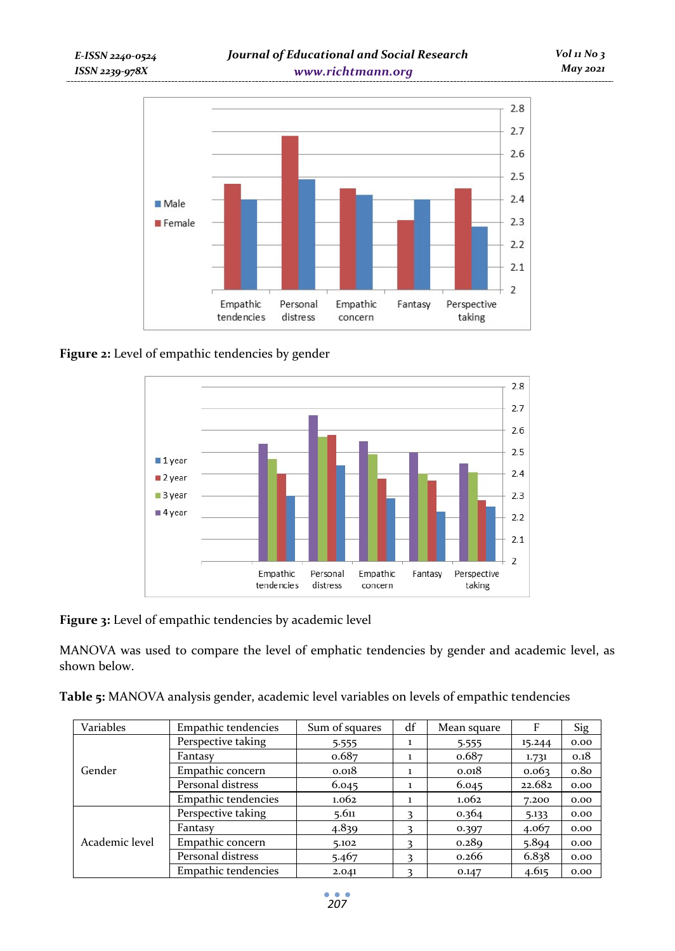

# Figure 2: Level of empathic tendencies by gender



**Figure 3:** Level of empathic tendencies by academic level

MANOVA was used to compare the level of emphatic tendencies by gender and academic level, as shown below.

| Variables      | Empathic tendencies | Sum of squares | df | Mean square | F      | <b>Sig</b>       |
|----------------|---------------------|----------------|----|-------------|--------|------------------|
|                | Perspective taking  | 5.555          |    | 5.555       | 15.244 | 0.00             |
| Gender         | Fantasy             | 0.687          |    | 0.687       | 1.731  | 0.18             |
|                | Empathic concern    | 0.018          |    | 0.018       | 0.063  | 0.8 <sub>0</sub> |
|                | Personal distress   | 6.045          | 1  | 6.045       | 22.682 | 0.00             |
|                | Empathic tendencies | 1.062          |    | 1.062       | 7.200  | 0.00             |
| Academic level | Perspective taking  | 5.611          |    | 0.364       | 5.133  | 0.00             |
|                | Fantasy             | 4.839          | 3  | 0.397       | 4.067  | 0.00             |
|                | Empathic concern    | 5.102          |    | 0.289       | 5.894  | 0.00             |
|                | Personal distress   | 5.467          |    | 0.266       | 6.838  | 0.00             |
|                | Empathic tendencies | 2.041          | 3  | 0.147       | 4.615  | 0.00             |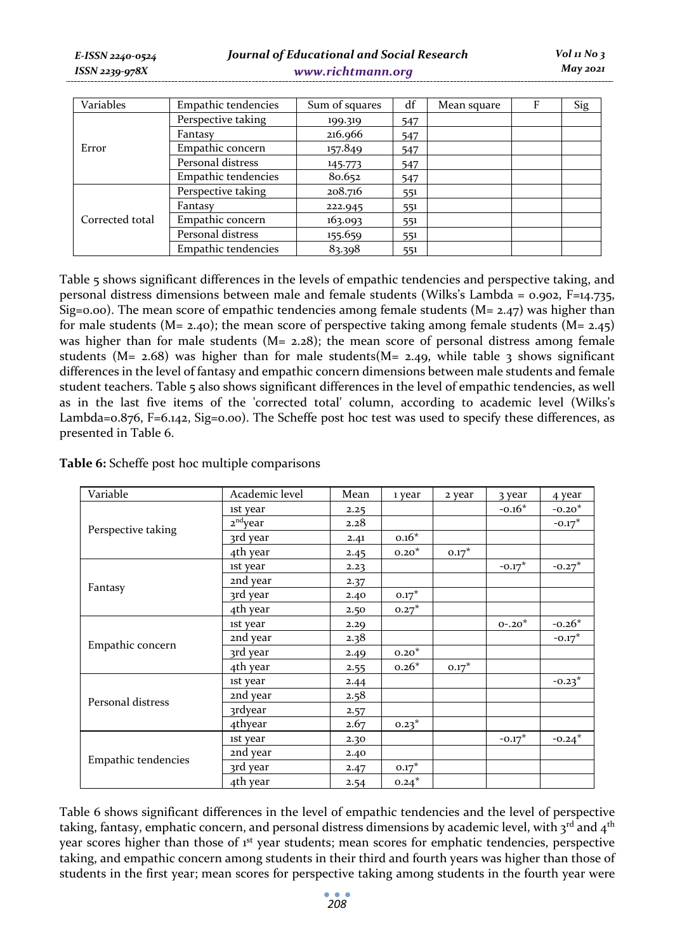| Variables       | Empathic tendencies | Sum of squares | df  | Mean square | F | Sig |
|-----------------|---------------------|----------------|-----|-------------|---|-----|
|                 | Perspective taking  | 199.319        | 547 |             |   |     |
|                 | Fantasy             | 216.966        | 547 |             |   |     |
| Error           | Empathic concern    | 157.849        | 547 |             |   |     |
|                 | Personal distress   | 145.773        | 547 |             |   |     |
|                 | Empathic tendencies | 80.652         | 547 |             |   |     |
| Corrected total | Perspective taking  | 208.716        | 551 |             |   |     |
|                 | Fantasy             | 222.945        | 551 |             |   |     |
|                 | Empathic concern    | 163.093        | 551 |             |   |     |
|                 | Personal distress   | 155.659        | 551 |             |   |     |
|                 | Empathic tendencies | 83.398         | 551 |             |   |     |

Table 5 shows significant differences in the levels of empathic tendencies and perspective taking, and personal distress dimensions between male and female students (Wilks's Lambda = 0.902, F=14.735, Sig=0.00). The mean score of empathic tendencies among female students ( $M = 2.47$ ) was higher than for male students ( $M = 2.40$ ); the mean score of perspective taking among female students ( $M = 2.45$ ) was higher than for male students  $(M= 2.28)$ ; the mean score of personal distress among female students (M=  $2.68$ ) was higher than for male students(M=  $2.49$ , while table 3 shows significant differences in the level of fantasy and empathic concern dimensions between male students and female student teachers. Table 5 also shows significant differences in the level of empathic tendencies, as well as in the last five items of the 'corrected total' column, according to academic level (Wilks's Lambda=0.876, F=6.142, Sig=0.00). The Scheffe post hoc test was used to specify these differences, as presented in Table 6.

**Table 6:** Scheffe post hoc multiple comparisons

| Variable                                                                                      | Academic level                                                                                                                                                                                                                                                                                                                                                                                                                                                                                                                                                                                                                                         | Mean | 1 year | 2 year | 3 year   | 4 year   |
|-----------------------------------------------------------------------------------------------|--------------------------------------------------------------------------------------------------------------------------------------------------------------------------------------------------------------------------------------------------------------------------------------------------------------------------------------------------------------------------------------------------------------------------------------------------------------------------------------------------------------------------------------------------------------------------------------------------------------------------------------------------------|------|--------|--------|----------|----------|
|                                                                                               | ist year                                                                                                                                                                                                                                                                                                                                                                                                                                                                                                                                                                                                                                               | 2.25 |        |        | $-0.16*$ | $-0.20*$ |
|                                                                                               | 2 <sup>nd</sup> year<br>$-0.17*$<br>2.28<br>$0.16*$<br>3rd year<br>2.41<br>4th year<br>$0.20*$<br>$0.17*$<br>2.45<br>$-0.27$ *<br>$-0.17*$<br>ist year<br>2.23<br>2nd year<br>2.37<br>$0.17*$<br>3rd year<br>2.40<br>4th year<br>$0.27^*$<br>2.50<br>$-0.26*$<br>$0 - 0.20^*$<br>ist year<br>2.29<br>$-0.17*$<br>2nd year<br>2.38<br>$0.20*$<br>3rd year<br>2.49<br>$0.26*$<br>$0.17*$<br>4th year<br>2.55<br>$-0.23^*$<br>ist year<br>2.44<br>2nd year<br>2.58<br><b>3rdyear</b><br>2.57<br>4thyear<br>$0.23*$<br>2.67<br>$-0.24*$<br>$-0.17*$<br>ist year<br>2.30<br>2nd year<br>2.40<br>3rd year<br>$0.17^*$<br>2.47<br>4th year<br>$0.24*$<br>2.54 |      |        |        |          |          |
|                                                                                               |                                                                                                                                                                                                                                                                                                                                                                                                                                                                                                                                                                                                                                                        |      |        |        |          |          |
|                                                                                               |                                                                                                                                                                                                                                                                                                                                                                                                                                                                                                                                                                                                                                                        |      |        |        |          |          |
|                                                                                               |                                                                                                                                                                                                                                                                                                                                                                                                                                                                                                                                                                                                                                                        |      |        |        |          |          |
|                                                                                               |                                                                                                                                                                                                                                                                                                                                                                                                                                                                                                                                                                                                                                                        |      |        |        |          |          |
|                                                                                               |                                                                                                                                                                                                                                                                                                                                                                                                                                                                                                                                                                                                                                                        |      |        |        |          |          |
|                                                                                               |                                                                                                                                                                                                                                                                                                                                                                                                                                                                                                                                                                                                                                                        |      |        |        |          |          |
|                                                                                               |                                                                                                                                                                                                                                                                                                                                                                                                                                                                                                                                                                                                                                                        |      |        |        |          |          |
| Perspective taking<br>Fantasy<br>Empathic concern<br>Personal distress<br>Empathic tendencies |                                                                                                                                                                                                                                                                                                                                                                                                                                                                                                                                                                                                                                                        |      |        |        |          |          |
|                                                                                               |                                                                                                                                                                                                                                                                                                                                                                                                                                                                                                                                                                                                                                                        |      |        |        |          |          |
|                                                                                               |                                                                                                                                                                                                                                                                                                                                                                                                                                                                                                                                                                                                                                                        |      |        |        |          |          |
|                                                                                               |                                                                                                                                                                                                                                                                                                                                                                                                                                                                                                                                                                                                                                                        |      |        |        |          |          |
|                                                                                               |                                                                                                                                                                                                                                                                                                                                                                                                                                                                                                                                                                                                                                                        |      |        |        |          |          |
|                                                                                               |                                                                                                                                                                                                                                                                                                                                                                                                                                                                                                                                                                                                                                                        |      |        |        |          |          |
|                                                                                               |                                                                                                                                                                                                                                                                                                                                                                                                                                                                                                                                                                                                                                                        |      |        |        |          |          |
|                                                                                               |                                                                                                                                                                                                                                                                                                                                                                                                                                                                                                                                                                                                                                                        |      |        |        |          |          |
|                                                                                               |                                                                                                                                                                                                                                                                                                                                                                                                                                                                                                                                                                                                                                                        |      |        |        |          |          |
|                                                                                               |                                                                                                                                                                                                                                                                                                                                                                                                                                                                                                                                                                                                                                                        |      |        |        |          |          |
|                                                                                               |                                                                                                                                                                                                                                                                                                                                                                                                                                                                                                                                                                                                                                                        |      |        |        |          |          |

Table 6 shows significant differences in the level of empathic tendencies and the level of perspective taking, fantasy, emphatic concern, and personal distress dimensions by academic level, with 3rd and 4<sup>th</sup> year scores higher than those of 1st year students; mean scores for emphatic tendencies, perspective taking, and empathic concern among students in their third and fourth years was higher than those of students in the first year; mean scores for perspective taking among students in the fourth year were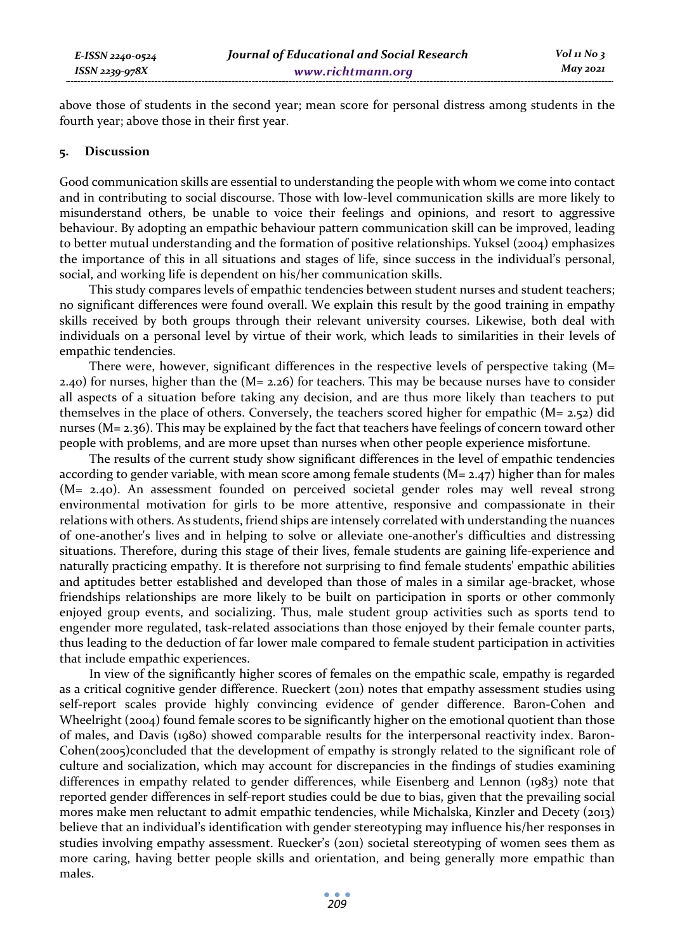above those of students in the second year; mean score for personal distress among students in the fourth year; above those in their first year.

#### **5. Discussion**

Good communication skills are essential to understanding the people with whom we come into contact and in contributing to social discourse. Those with low-level communication skills are more likely to misunderstand others, be unable to voice their feelings and opinions, and resort to aggressive behaviour. By adopting an empathic behaviour pattern communication skill can be improved, leading to better mutual understanding and the formation of positive relationships. Yuksel (2004) emphasizes the importance of this in all situations and stages of life, since success in the individual's personal, social, and working life is dependent on his/her communication skills.

This study compares levels of empathic tendencies between student nurses and student teachers; no significant differences were found overall. We explain this result by the good training in empathy skills received by both groups through their relevant university courses. Likewise, both deal with individuals on a personal level by virtue of their work, which leads to similarities in their levels of empathic tendencies.

There were, however, significant differences in the respective levels of perspective taking  $(M=$ 2.40) for nurses, higher than the (M= 2.26) for teachers. This may be because nurses have to consider all aspects of a situation before taking any decision, and are thus more likely than teachers to put themselves in the place of others. Conversely, the teachers scored higher for empathic  $(M= 2.52)$  did nurses (M= 2.36). This may be explained by the fact that teachers have feelings of concern toward other people with problems, and are more upset than nurses when other people experience misfortune.

The results of the current study show significant differences in the level of empathic tendencies according to gender variable, with mean score among female students  $(M= 2.47)$  higher than for males (M= 2.40). An assessment founded on perceived societal gender roles may well reveal strong environmental motivation for girls to be more attentive, responsive and compassionate in their relations with others. As students, friend ships are intensely correlated with understanding the nuances of one-another's lives and in helping to solve or alleviate one-another's difficulties and distressing situations. Therefore, during this stage of their lives, female students are gaining life-experience and naturally practicing empathy. It is therefore not surprising to find female students' empathic abilities and aptitudes better established and developed than those of males in a similar age-bracket, whose friendships relationships are more likely to be built on participation in sports or other commonly enjoyed group events, and socializing. Thus, male student group activities such as sports tend to engender more regulated, task-related associations than those enjoyed by their female counter parts, thus leading to the deduction of far lower male compared to female student participation in activities that include empathic experiences.

In view of the significantly higher scores of females on the empathic scale, empathy is regarded as a critical cognitive gender difference. Rueckert (2011) notes that empathy assessment studies using self-report scales provide highly convincing evidence of gender difference. Baron-Cohen and Wheelright (2004) found female scores to be significantly higher on the emotional quotient than those of males, and Davis (1980) showed comparable results for the interpersonal reactivity index. Baron-Cohen(2005)concluded that the development of empathy is strongly related to the significant role of culture and socialization, which may account for discrepancies in the findings of studies examining differences in empathy related to gender differences, while Eisenberg and Lennon (1983) note that reported gender differences in self-report studies could be due to bias, given that the prevailing social mores make men reluctant to admit empathic tendencies, while Michalska, Kinzler and Decety (2013) believe that an individual's identification with gender stereotyping may influence his/her responses in studies involving empathy assessment. Ruecker's (2011) societal stereotyping of women sees them as more caring, having better people skills and orientation, and being generally more empathic than males.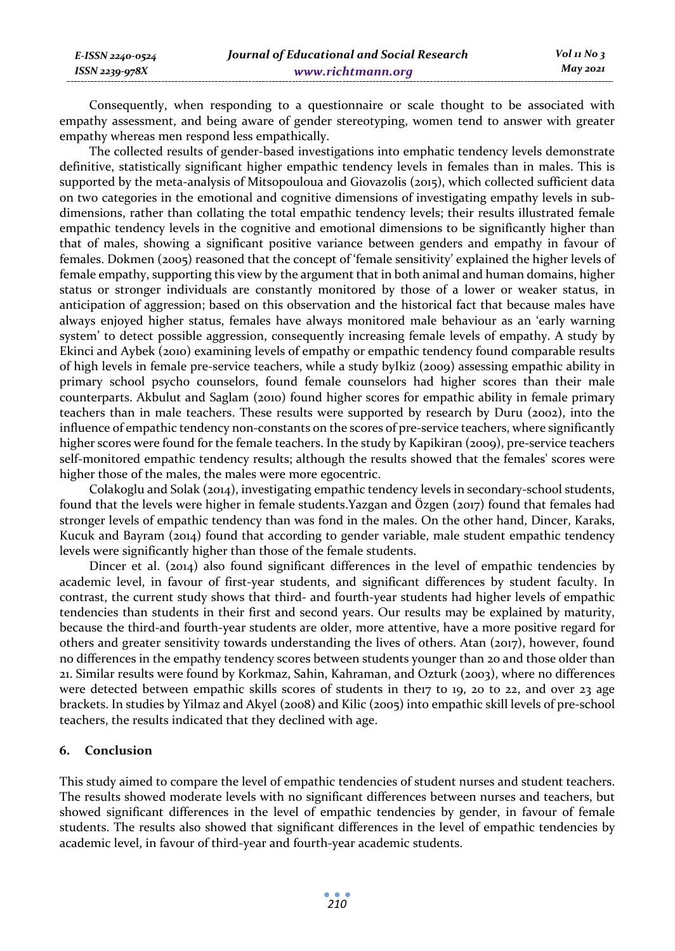| E-ISSN 2240-0524 |  |
|------------------|--|
| ISSN 2239-978X   |  |

Consequently, when responding to a questionnaire or scale thought to be associated with empathy assessment, and being aware of gender stereotyping, women tend to answer with greater empathy whereas men respond less empathically.

The collected results of gender-based investigations into emphatic tendency levels demonstrate definitive, statistically significant higher empathic tendency levels in females than in males. This is supported by the meta-analysis of Mitsopouloua and Giovazolis (2015), which collected sufficient data on two categories in the emotional and cognitive dimensions of investigating empathy levels in subdimensions, rather than collating the total empathic tendency levels; their results illustrated female empathic tendency levels in the cognitive and emotional dimensions to be significantly higher than that of males, showing a significant positive variance between genders and empathy in favour of females. Dokmen (2005) reasoned that the concept of 'female sensitivity' explained the higher levels of female empathy, supporting this view by the argument that in both animal and human domains, higher status or stronger individuals are constantly monitored by those of a lower or weaker status, in anticipation of aggression; based on this observation and the historical fact that because males have always enjoyed higher status, females have always monitored male behaviour as an 'early warning system' to detect possible aggression, consequently increasing female levels of empathy. A study by Ekinci and Aybek (2010) examining levels of empathy or empathic tendency found comparable results of high levels in female pre-service teachers, while a study byIkiz (2009) assessing empathic ability in primary school psycho counselors, found female counselors had higher scores than their male counterparts. Akbulut and Saglam (2010) found higher scores for empathic ability in female primary teachers than in male teachers. These results were supported by research by Duru (2002), into the influence of empathic tendency non-constants on the scores of pre-service teachers, where significantly higher scores were found for the female teachers. In the study by Kapikiran (2009), pre-service teachers self-monitored empathic tendency results; although the results showed that the females' scores were higher those of the males, the males were more egocentric.

Colakoglu and Solak (2014), investigating empathic tendency levels in secondary-school students, found that the levels were higher in female students.Yazgan and Özgen (2017) found that females had stronger levels of empathic tendency than was fond in the males. On the other hand, Dіncer, Karaks, Kucuk and Bayram (2014) found that according to gender variable, male student empathic tendency levels were significantly higher than those of the female students.

Dincer et al. (2014) also found significant differences in the level of empathic tendencies by academic level, in favour of first-year students, and significant differences by student faculty. In contrast, the current study shows that third- and fourth-year students had higher levels of empathic tendencies than students in their first and second years. Our results may be explained by maturity, because the third-and fourth-year students are older, more attentive, have a more positive regard for others and greater sensitivity towards understanding the lives of others. Atan (2017), however, found no differences in the empathy tendency scores between students younger than 20 and those older than 21. Similar results were found by Korkmaz, Sahin, Kahraman, and Ozturk (2003), where no differences were detected between empathic skills scores of students in the17 to 19, 20 to 22, and over 23 age brackets. In studies by Yilmaz and Akyel (2008) and Kilic (2005) into empathic skill levels of pre-school teachers, the results indicated that they declined with age.

## **6. Conclusion**

This study aimed to compare the level of empathic tendencies of student nurses and student teachers. The results showed moderate levels with no significant differences between nurses and teachers, but showed significant differences in the level of empathic tendencies by gender, in favour of female students. The results also showed that significant differences in the level of empathic tendencies by academic level, in favour of third-year and fourth-year academic students.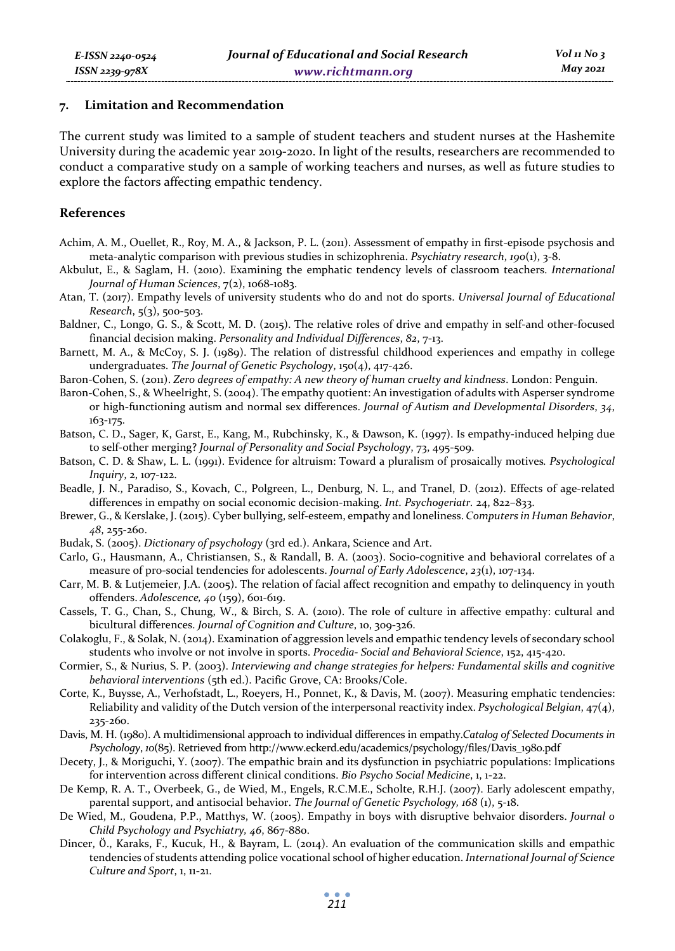#### **7. Limitation and Recommendation**

The current study was limited to a sample of student teachers and student nurses at the Hashemite University during the academic year 2019-2020. In light of the results, researchers are recommended to conduct a comparative study on a sample of working teachers and nurses, as well as future studies to explore the factors affecting empathic tendency.

#### **References**

- Achim, A. M., Ouellet, R., Roy, M. A., & Jackson, P. L. (2011). Assessment of empathy in first-episode psychosis and meta-analytic comparison with previous studies in schizophrenia. *Psychiatry research*, *190*(1), 3-8.
- Akbulut, E., & Saglam, H. (2010). Examining the emphatic tendency levels of classroom teachers. *International Journal of Human Sciences*, 7(2), 1068-1083.
- Atan, T. (2017). Empathy levels of university students who do and not do sports. *Universal Journal of Educational Research*, 5(3), 500-503.
- Baldner, C., Longo, G. S., & Scott, M. D. (2015). The relative roles of drive and empathy in self-and other-focused financial decision making. *Personality and Individual Differences*, *82*, 7-13.
- Barnett, M. A., & McCoy, S. J. (1989). The relation of distressful childhood experiences and empathy in college undergraduates. *The Journal of Genetic Psychology*, 150(4), 417-426.
- Baron-Cohen, S. (2011). *Zero degrees of empathy: A new theory of human cruelty and kindness*. London: Penguin.
- Baron-Cohen, S., & Wheelright, S. (2004). The empathy quotient: An investigation of adults with Asperser syndrome or high-functioning autism and normal sex differences. *Journal of Autism and Developmental Disorders*, *34*, 163-175.
- Batson, C. D., Sager, K, Garst, E., Kang, M., Rubchinsky, K., & Dawson, K. (1997). Is empathy-induced helping due to self-other merging? *Journal of Personality and Social Psychology*, 73, 495-509.
- Batson, C. D. & Shaw, L. L. (1991). Evidence for altruism: Toward a pluralism of prosaically motives*. Psychological Inquiry*, 2, 107-122.
- Beadle, J. N., Paradiso, S., Kovach, C., Polgreen, L., Denburg, N. L., and Tranel, D. (2012). Effects of age-related differences in empathy on social economic decision-making. *Int. Psychogeriatr.* 24, 822–833.
- Brewer, G., & Kerslake, J. (2015). Cyber bullying, self-esteem, empathy and loneliness. *Computers in Human Behavior*, *48*, 255-260.
- Budak, S. (2005). *Dictionary of psychology* (3rd ed.). Ankara, Science and Art.
- Carlo, G., Hausmann, A., Christiansen, S., & Randall, B. A. (2003). Socio-cognitive and behavioral correlates of a measure of pro-social tendencies for adolescents. *Journal of Early Adolescence*, *23*(1), 107-134.
- Carr, M. B. & Lutjemeier, J.A. (2005). The relation of facial affect recognition and empathy to delinquency in youth offenders. *Adolescence, 40* (159), 601-619.
- Cassels, T. G., Chan, S., Chung, W., & Birch, S. A. (2010). The role of culture in affective empathy: cultural and bicultural differences. *Journal of Cognition and Culture*, 10, 309-326.
- Colakoglu, F., & Solak, N. (2014). Examination of aggression levels and empathic tendency levels of secondary school students who involve or not involve in sports. *Procedia- Social and Behavioral Science*, 152, 415-420.
- Cormier, S., & Nurius, S. P. (2003). *Interviewing and change strategies for helpers: Fundamental skills and cognitive behavioral interventions* (5th ed.). Pacific Grove, CA: Brooks/Cole.
- Corte, K., Buysse, A., Verhofstadt, L., Roeyers, H., Ponnet, K., & Davis, M. (2007). Measuring emphatic tendencies: Reliability and validity of the Dutch version of the interpersonal reactivity index. *Psychological Belgian*, 47(4), 235-260.
- Davis, M. H. (1980). A multidimensional approach to individual differences in empathy.*Catalog of Selected Documents in Psychology*, *10*(85). Retrieved from http://www.eckerd.edu/academics/psychology/files/Davis\_1980.pdf
- Decety, J., & Moriguchi, Y. (2007). The empathic brain and its dysfunction in psychiatric populations: Implications for intervention across different clinical conditions. *Bio Psycho Social Medicine*, 1, 1-22.
- De Kemp, R. A. T., Overbeek, G., de Wied, M., Engels, R.C.M.E., Scholte, R.H.J. (2007). Early adolescent empathy, parental support, and antisocial behavior. *The Journal of Genetic Psychology, 168* (1), 5-18.
- De Wied, M., Goudena, P.P., Matthys, W. (2005). Empathy in boys with disruptive behvaior disorders. *Journal o Child Psychology and Psychiatry, 46*, 867-880.
- Dіncer, Ӧ., Karaks, F., Kucuk, H., & Bayram, L. (2014). An evaluation of the communication skills and empathic tendencies of students attending police vocational school of higher education. *International Journal of Science Culture and Sport*, 1, 11-21.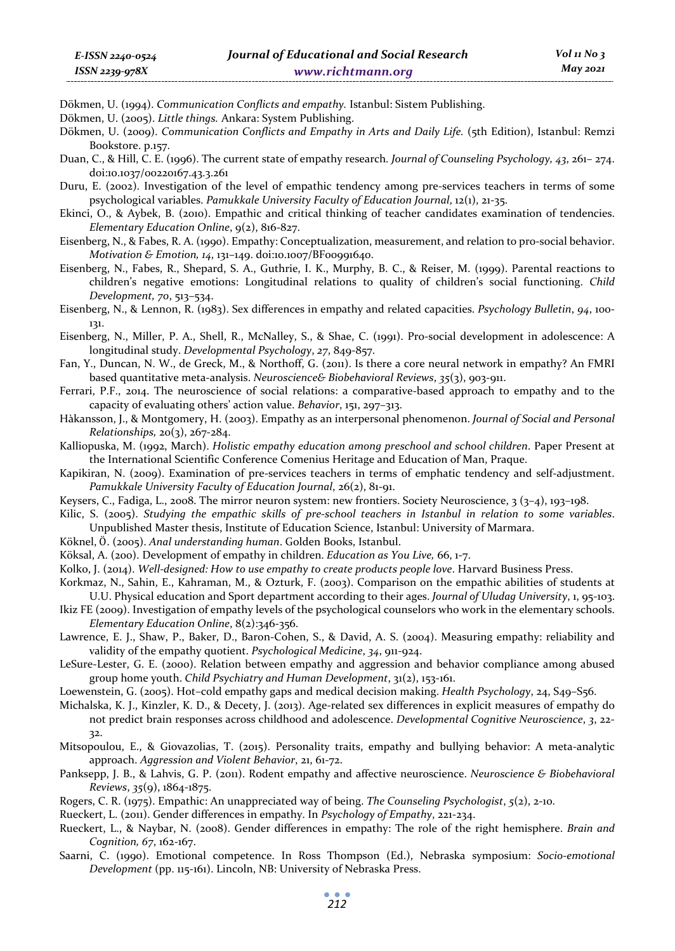Dökmen, U. (1994). *Communication Conflicts and empathy.* Istanbul: Sistem Publishing.

Dökmen, U. (2005). *Little things.* Ankara: System Publishing.

Dökmen, U. (2009). *Communication Conflicts and Empathy in Arts and Daily Life.* (5th Edition), Istanbul: Remzi Bookstore. p.157.

Duan, C., & Hill, C. E. (1996). The current state of empathy research*. Journal of Counseling Psychology, 43*, 261– 274. doi:10.1037/00220167.43.3.261

Duru, E. (2002). Investigation of the level of empathic tendency among pre-services teachers in terms of some psychological variables. *Pamukkale University Faculty of Education Journal*, 12(1), 21-35.

- Ekinci, O., & Aybek, B. (2010). Empathic and critical thinking of teacher candidates examination of tendencies. *Elementary Education Online*, 9(2), 816-827.
- Eisenberg, N., & Fabes, R. A. (1990). Empathy: Conceptualization, measurement, and relation to pro-social behavior. *Motivation & Emotion, 14*, 131–149. doi:10.1007/BF00991640.
- Eisenberg, N., Fabes, R., Shepard, S. A., Guthrie, I. K., Murphy, B. C., & Reiser, M. (1999). Parental reactions to children's negative emotions: Longitudinal relations to quality of children's social functioning. *Child Development, 70*, 513–534.

Eisenberg, N., & Lennon, R. (1983). Sex differences in empathy and related capacities. *Psychology Bulletin*, *94*, 100- 131.

Eisenberg, N., Miller, P. A., Shell, R., McNalley, S., & Shae, C. (1991). Pro-social development in adolescence: A longitudinal study. *Developmental Psychology*, *27*, 849-857.

- Fan, Y., Duncan, N. W., de Greck, M., & Northoff, G. (2011). Is there a core neural network in empathy? An FMRI based quantitative meta-analysis. *Neuroscience& Biobehavioral Reviews*, *35*(3), 903-911.
- Ferrari, P.F., 2014. The neuroscience of social relations: a comparative-based approach to empathy and to the capacity of evaluating others' action value. *Behavior*, 151, 297–313.
- Hàkansson, J., & Montgomery, H. (2003). Empathy as an interpersonal phenomenon. *Journal of Social and Personal Relationships,* 20(3), 267-284.

Kalliopuska, M. (1992, March). *Holistic empathy education among preschool and school children*. Paper Present at the International Scientific Conference Comenius Heritage and Education of Man, Praque.

- Kapikiran, N. (2009). Examination of pre-services teachers in terms of emphatic tendency and self-adjustment. *Pamukkale University Faculty of Education Journal*, 26(2), 81-91.
- Keysers, C., Fadiga, L., 2008. The mirror neuron system: new frontiers. Society Neuroscience, 3 (3–4), 193–198.
- Kilic, S. (2005). *Studying the empathic skills of pre-school teachers in Istanbul in relation to some variables*. Unpublished Master thesis, Institute of Education Science, Istanbul: University of Marmara.
- Köknel, Ӧ. (2005). *Anal understanding human*. Golden Books, Istanbul.
- Köksal, A. (200). Development of empathy in children. *Education as You Live,* 66, 1-7.
- Kolko, J. (2014). *Well-designed: How to use empathy to create products people love*. Harvard Business Press.
- Korkmaz, N., Sahin, E., Kahraman, M., & Ozturk, F. (2003). Comparison on the empathic abilities of students at U.U. Physical education and Sport department according to their ages. *Journal of Uludag University*, 1, 95-103.
- Ikiz FE (2009). Investigation of empathy levels of the psychological counselors who work in the elementary schools. *Elementary Education Online*, 8(2):346-356.
- Lawrence, E. J., Shaw, P., Baker, D., Baron-Cohen, S., & David, A. S. (2004). Measuring empathy: reliability and validity of the empathy quotient. *Psychological Medicine*, *34*, 911-924.
- LeSure-Lester, G. E. (2000). Relation between empathy and aggression and behavior compliance among abused group home youth. *Child Psychiatry and Human Development*, 31(2), 153-161.
- Loewenstein, G. (2005). Hot–cold empathy gaps and medical decision making. *Health Psychology*, 24, S49–S56.
- Michalska, K. J., Kinzler, K. D., & Decety, J. (2013). Age-related sex differences in explicit measures of empathy do not predict brain responses across childhood and adolescence. *Developmental Cognitive Neuroscience*, *3*, 22- 32.
- Mitsopoulou, E., & Giovazolias, T. (2015). Personality traits, empathy and bullying behavior: A meta-analytic approach. *Aggression and Violent Behavior*, 21, 61-72.
- Panksepp, J. B., & Lahvis, G. P. (2011). Rodent empathy and affective neuroscience. *Neuroscience & Biobehavioral Reviews*, *35*(9), 1864-1875.
- Rogers, C. R. (1975). Empathic: An unappreciated way of being. *The Counseling Psychologist*, *5*(2), 2-10.
- Rueckert, L. (2011). Gender differences in empathy. In *Psychology of Empathy*, 221-234.
- Rueckert, L., & Naybar, N. (2008). Gender differences in empathy: The role of the right hemisphere. *Brain and Cognition, 67*, 162-167.
- Saarni, C. (1990). Emotional competence. In Ross Thompson (Ed.), Nebraska symposium: *Socio-emotional Development* (pp. 115-161). Lincoln, NB: University of Nebraska Press.